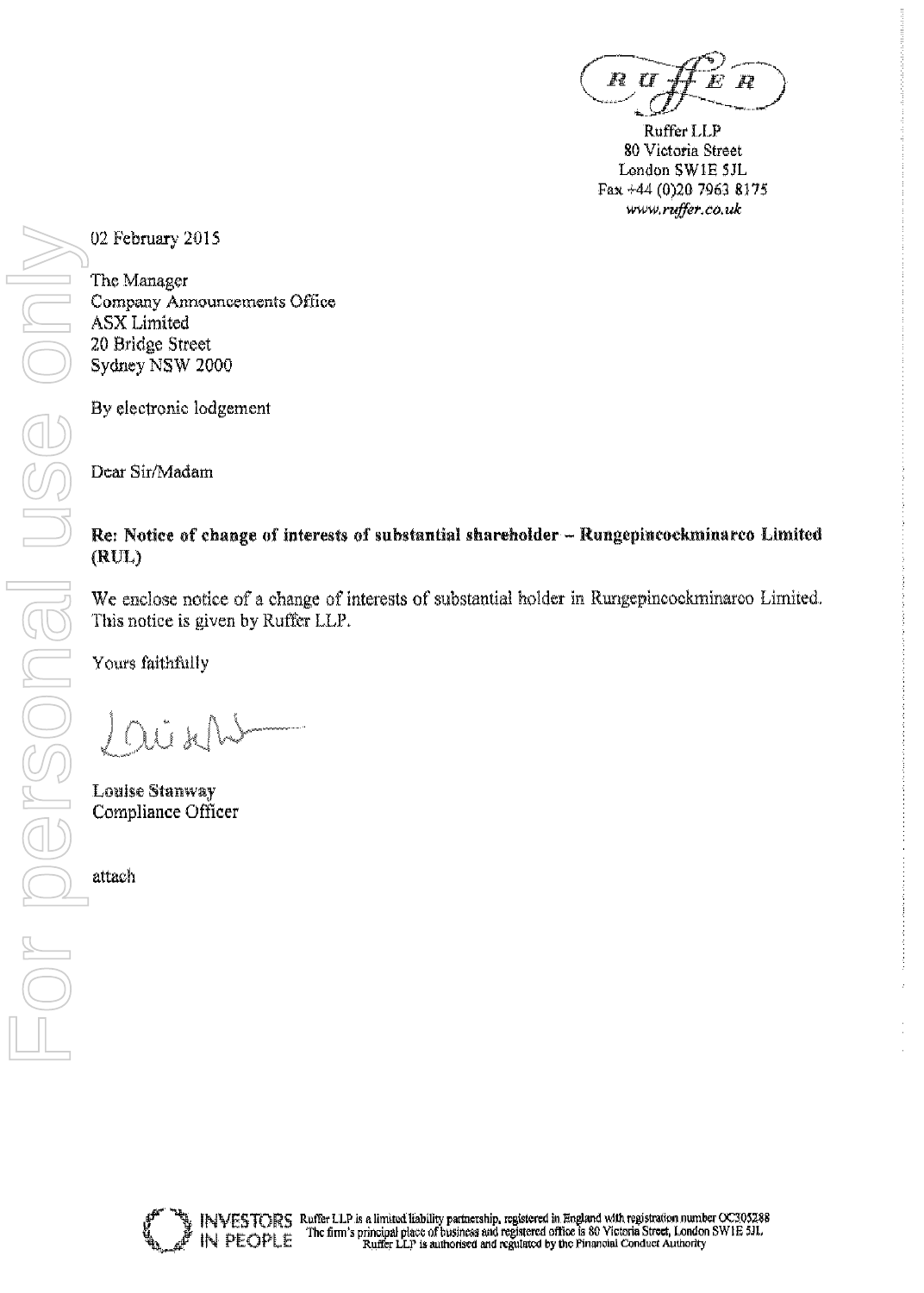R TI

Ruffer LLP 80 Victoria Street London SWIE 5JL Fax +44 (0)20 7963 8175 www.ruffer.co.uk

02 February 2015

The Manager Company Announcements Office **ASX** Limited 20 Bridge Street Sydney NSW 2000

By electronic lodgement

Dear Sir/Madam

# Re: Notice of change of interests of substantial shareholder - Rungepincockminarco Limited  $(RUL)$

We enclose notice of a change of interests of substantial holder in Rungepincockminarco Limited. This notice is given by Ruffer LLP.

Yours faithfully

)U x

**Louise Stanway** Compliance Officer

attach

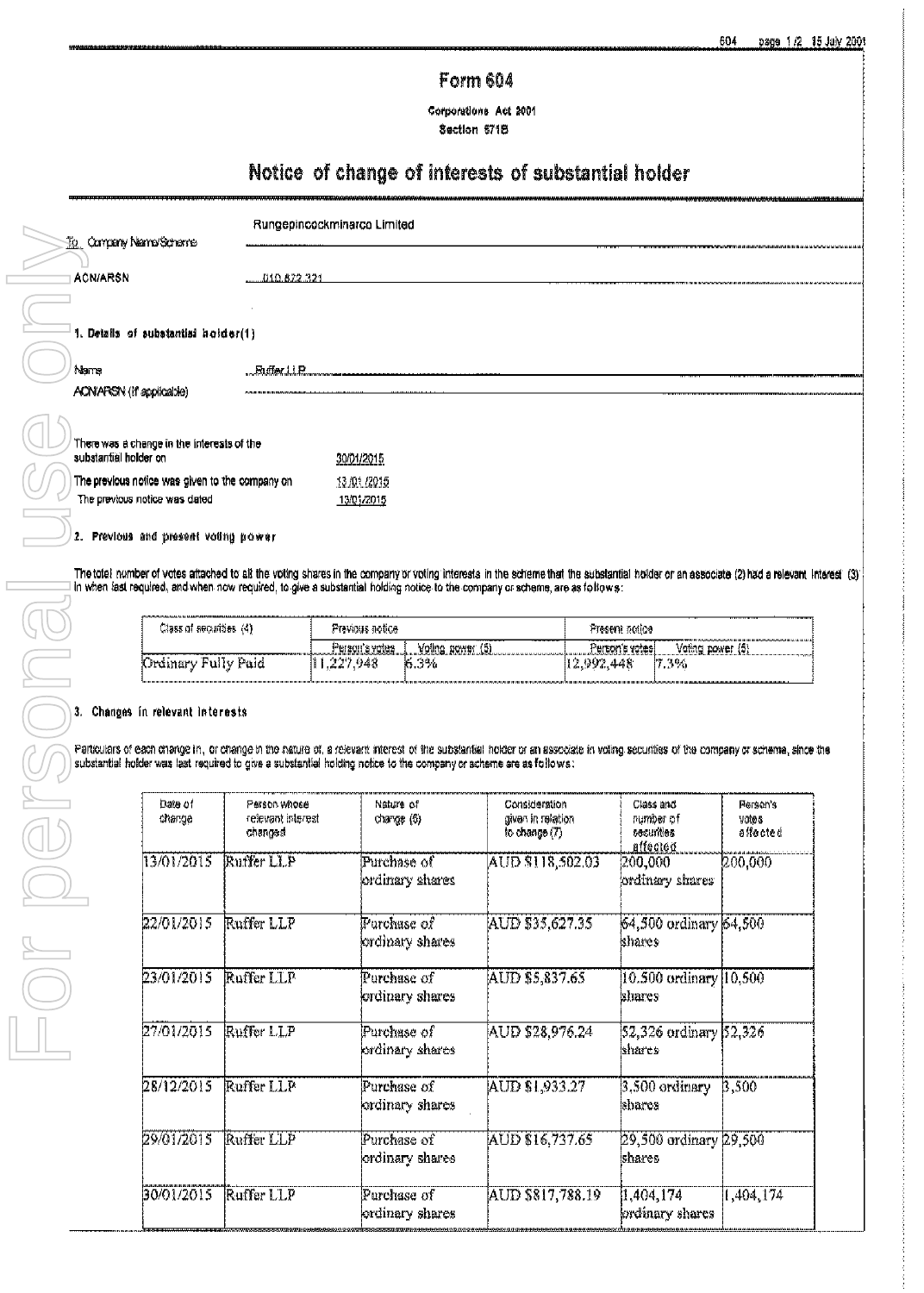# **Form 604**

Corporations Act 2001 Section 671B

# Notice of change of interests of substantial holder

| <b>To Company Nerre/Scheme</b>                                                   | Rungepincockminarco Limited |                            |  |  |  |  |
|----------------------------------------------------------------------------------|-----------------------------|----------------------------|--|--|--|--|
| <b>ACN/ARSN</b>                                                                  | 010.672.321                 |                            |  |  |  |  |
|                                                                                  |                             |                            |  |  |  |  |
| 1. Details of substantial holder(1)                                              |                             |                            |  |  |  |  |
| Name<br>ACN/ARSN (if applicable)                                                 | Ruffer LLP.                 |                            |  |  |  |  |
| There was a change in the interests of the<br>substantial holder on              |                             | 30/01/2015                 |  |  |  |  |
| The previous notice was given to the company on<br>The previous notice was dated |                             | 13 /01 /2015<br>13/01/2015 |  |  |  |  |

 $\rightarrow$  2. Previous and present voting power

The total number of votes attached to all the voting shares in the company or voting interests in the scheme that the substantial holder or an associate (2) had a relevant Interest (3) in when last required, and when now required, to give a substantial holding notice to the company or scheme, are as follows:

| .<br>TRANSPORTANT AND THE RELEASE THE MAIN COMMUNICATION CONTINUES IN THE RELEASE OF THE REPORT OF THE CONTINUES OF<br>Class of securities (4) | Previous notice :            |                  | Present notice      |                     |
|------------------------------------------------------------------------------------------------------------------------------------------------|------------------------------|------------------|---------------------|---------------------|
|                                                                                                                                                | Ferson's votes               | Voling power (5) | Person's votesi     | Voting power (5)    |
| Fully Paid<br>, Jrdinary .                                                                                                                     | .227.948<br>. . <del>.</del> | 16.3%            | ,992,448<br>A diane | ----<br>7.3%<br>HIT |

#### 3. Changes in relevant interests

Particulars of each change in, or change in the nature of, a relevant interest of the substantial holder or an associate in voting securities of the company or scheme, since the substantial holder was last required to give a substantial holding notice to the company or scheme are as follows:

| Date of<br>change | Person whose<br>relevant interest.<br>changed | Nature of<br>charge (6)                   | Consideration<br>given in relation<br>to change (7) | Class and<br>number of<br><i><b>Securites</b></i><br>affected | Person's<br>a on v<br>allacted |
|-------------------|-----------------------------------------------|-------------------------------------------|-----------------------------------------------------|---------------------------------------------------------------|--------------------------------|
| 13/01/2015        | Ruffer LLP                                    | Purchase of<br>ordinary shares            | AUD \$118,502.03                                    | 200,000<br>ordinary shares                                    | 200,000                        |
| 22/01/2015        | Ruffer LLP                                    | $\mathbf F$ urchase of<br>ordinary shares | AUD \$35,627.35                                     | 64,500 ordinary 64,500<br>khares                              |                                |
| 23/01/2015        | Ruffer LLP                                    | Purchase of<br>kordinary shares           | AUD \$5,837.65                                      | $ 10.500$ ordinary $ 10.500$<br>khares                        |                                |
| 27/01/2015        | Ruffer LLP                                    | Purchase of<br>ordinary shares            | AUD \$28,976.24                                     | 52,326 ordinary 52,326<br>shares                              |                                |
| 28/12/2015        | Ruffer LLP                                    | Purchase of<br>ordinary shares            | AUD \$1,933.27                                      | 3.500 ordinary<br>khares                                      | 3,500                          |
| 29/01/2015        | Ruffer LLP                                    | Purchase of<br>ordinary shares            | AUD \$16,737.65                                     | 29,500 ordinary 29,500<br>shares                              |                                |
| 30/01/2015        | Ruffer LLP                                    | Purchase of<br>ordinary shares            | AUD \$817.788.19                                    | 1,404,174<br>ordinary shares                                  | 1,404,174                      |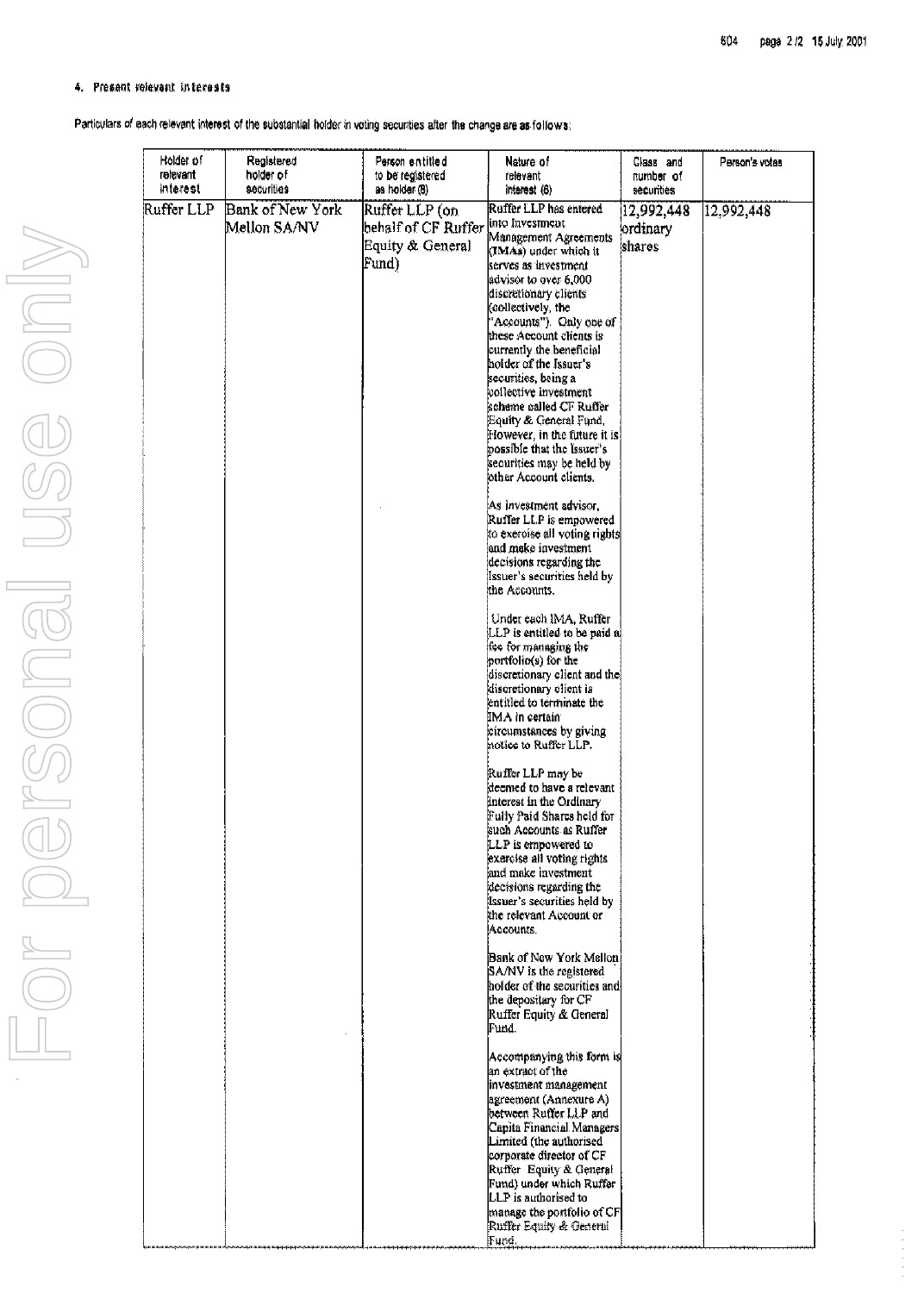### 4. Present relevant interests

Particulars of each relevant interest of the substantial holder in voting securities after the change are as follows:

| Holder of<br>relevant | Registered<br>holder of          | Person entitled<br>to be registered   | Nature of<br>relevant                                    | Class and<br>number of | Person's votes |
|-----------------------|----------------------------------|---------------------------------------|----------------------------------------------------------|------------------------|----------------|
| interest              | securities                       | as holder (8)                         | interest (6)                                             | securities             |                |
| Ruffer LLP            | Bank of New York<br>Mellon SA/NV | Ruffer LLP (on<br>behalf of CF Ruffer | Ruffer LLP has entered<br>into Investment                | 12,992,448             | 12,992,448     |
|                       |                                  |                                       | Management Agreements                                    | ordinary               |                |
|                       |                                  | Equity & General                      | (IMAs) under which it                                    | shares                 |                |
|                       |                                  | Fund)                                 | serves as investment                                     |                        |                |
|                       |                                  |                                       | advisor to over 6,000                                    |                        |                |
|                       |                                  |                                       | discretionary clients                                    |                        |                |
|                       |                                  |                                       | (collectively, the                                       |                        |                |
|                       |                                  |                                       | "Accounts"). Only one of                                 |                        |                |
|                       |                                  |                                       | these Account clients is                                 |                        |                |
|                       |                                  |                                       | currently the beneficial<br>hoider of the Issuer's       |                        |                |
|                       |                                  |                                       | securities, being a                                      |                        |                |
|                       |                                  |                                       | collective investment                                    |                        |                |
|                       |                                  |                                       | scheme called CF Ruffer                                  |                        |                |
|                       |                                  |                                       | Equity & General Fund,                                   |                        |                |
|                       |                                  |                                       | [However, in the future it is]                           |                        |                |
|                       |                                  |                                       | possible that the Issuer's                               |                        |                |
|                       |                                  |                                       | securities may be held by<br>other Account clients.      |                        |                |
|                       |                                  |                                       |                                                          |                        |                |
|                       |                                  |                                       | As investment advisor,                                   |                        |                |
|                       |                                  |                                       | Ruffer LLP is empowered<br>to exercise all voting rights |                        |                |
|                       |                                  |                                       | and make investment                                      |                        |                |
|                       |                                  |                                       | decisions regarding the                                  |                        |                |
|                       |                                  |                                       | Issuer's securities held by                              |                        |                |
|                       |                                  |                                       | the Accounts.                                            |                        |                |
|                       |                                  |                                       | Under each IMA, Ruffer                                   |                        |                |
|                       |                                  |                                       | LLP is entitled to be paid al                            |                        |                |
|                       |                                  |                                       | tee for managing the                                     |                        |                |
|                       |                                  |                                       | portfolio(s) for the                                     |                        |                |
|                       |                                  |                                       | discretionary client and the<br>discretionary client is  |                        |                |
|                       |                                  |                                       | entitled to terminate the                                |                        |                |
|                       |                                  |                                       | IMA in certain                                           |                        |                |
|                       |                                  |                                       | circumstances by giving                                  |                        |                |
|                       |                                  |                                       | notice to Ruffer LLP.                                    |                        |                |
|                       |                                  |                                       | Ruffer LLP may be                                        |                        |                |
|                       |                                  |                                       | deemed to have a relevant                                |                        |                |
|                       |                                  |                                       | interest in the Ordinary<br>Fully Paid Shares held for   |                        |                |
|                       |                                  |                                       | such Accounts as Ruffer                                  |                        |                |
|                       |                                  |                                       | LLP is empowered to                                      |                        |                |
|                       |                                  |                                       | exercise all voting rights                               |                        |                |
|                       |                                  |                                       | and make investment                                      |                        |                |
|                       |                                  |                                       | decisions regarding the                                  |                        |                |
|                       |                                  |                                       | Issuer's securities held by<br>the relevant Account or   |                        |                |
|                       |                                  |                                       | Accounts.                                                |                        |                |
|                       |                                  |                                       | Bank of New York Mellon!                                 |                        |                |
|                       |                                  |                                       | SA/NV is the registered                                  |                        |                |
|                       |                                  |                                       | holder of the securities and                             |                        |                |
|                       |                                  |                                       | the depositary for CF                                    |                        |                |
|                       |                                  |                                       | Ruffer Equity & General<br>Fund.                         |                        |                |
|                       |                                  |                                       |                                                          |                        |                |
|                       |                                  |                                       | Accompanying this form is<br>an extract of the           |                        |                |
|                       |                                  |                                       | investment management                                    |                        |                |
|                       |                                  |                                       | agreement (Annexure A)                                   |                        |                |
|                       |                                  |                                       | between Ruffer LLP and                                   |                        |                |
|                       |                                  |                                       | Capita Financial Managers<br>Limited (the authorised     |                        |                |
|                       |                                  |                                       | corporate director of CF                                 |                        |                |
|                       |                                  |                                       | Ruffer Equity & General                                  |                        |                |
|                       |                                  |                                       | Fund) under which Ruffer                                 |                        |                |
|                       |                                  |                                       | LLP is authorised to<br>manage the portfolio of CF       |                        |                |
|                       |                                  |                                       | Ruffer Equity & General                                  |                        |                |
|                       |                                  |                                       | <b>Free</b>                                              |                        |                |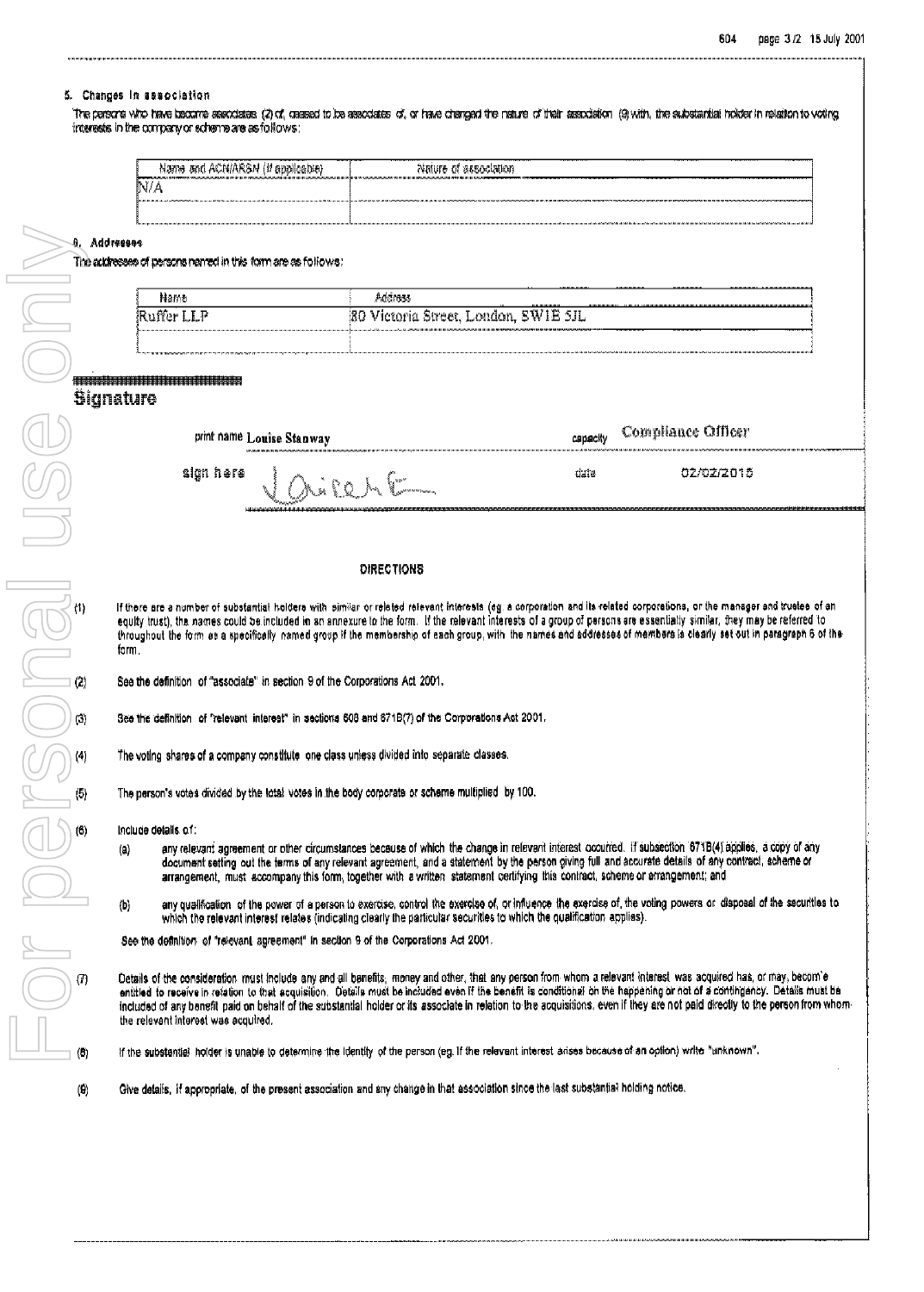#### 5. Changes in association

The persons who have become associates (2) of, ceased to be associates of, or have denoted the entertainty of their association (9) with, the substantial holder in relation to voting interests in the company or scheme are as follows:

| ----------<br>--------<br>. Acniarsni<br>Name and<br>(# GDDHCGDH) | ----------<br>----------<br>noushees to enumber                                                               | ----------                                                                                                          | . | --------- | --------- | --------  |
|-------------------------------------------------------------------|---------------------------------------------------------------------------------------------------------------|---------------------------------------------------------------------------------------------------------------------|---|-----------|-----------|-----------|
| --------------------------<br>N/A                                 | 88.1119.90   1981.111   1111.11.13.13.13.10.0000<br>The contract of the common<br>THE REPORT FOR ANYWHERE WAS |                                                                                                                     |   |           |           | --------- |
| $-1.00111$<br><b>COLORADO</b><br>.                                | .                                                                                                             | 1. HEARLY RUNAIR ARRAIGNMENT COMMANDER ARRESTS TO THE RESIDENCE OF COMMANDER AREA LINEAR ARRESTS ARRESTS AND ARREST |   |           |           |           |
|                                                                   |                                                                                                               |                                                                                                                     |   |           |           |           |

8. Addresses

The addresses of persons named in this form are as follows:

| Nano                                  | Address                                      | ---------------        |              |  | <br>***************************** |
|---------------------------------------|----------------------------------------------|------------------------|--------------|--|-----------------------------------|
| a German<br>- -<br>жипег<br>Ann Ann B | - - -<br>-80<br>' Victoria Street, London, ' | - 夏 寛/王眉 -<br>ت ۱۳۲۱ ت | $-11$<br>--- |  |                                   |
|                                       |                                              |                        |              |  | ,,,,,,,,,,,,,,                    |

| print name Louise Stanway                                                                                                               | Compliance Officer<br>capacity |            |          |  |
|-----------------------------------------------------------------------------------------------------------------------------------------|--------------------------------|------------|----------|--|
| We approximate the process component contract the<br>sign here<br>Portes<br><b>The Common Street, Inc.</b><br>LLASA AMARA AMAMADILIDI.D | date                           | 02/02/2015 | استستنست |  |

#### **DIRECTIONS**

If there are a number of substantial holders with similar or related relevant Interests (eg. a corporation and its related corporations, or the manager and truetee of an equity trust), the names could be included in an annexure to the form. If the relevant interests of a group of persons are essentially similar, they may be referred to throughout the form as a specifically named group if the membership of each group, with the names and addresses of members is clearly set out in paragraph 6 of the form

See the definition of "associate" in section 9 of the Corporations Act 2001.

See the definition of "relevant interest" in sections 608 and 671B(7) of the Corporations Act 2001.

The voting shares of a company constitute one class unless divided into separate classes.

The person's votes divided by the total votes in the body corporate or scheme multiplied by 100.

Include details of:

- any relevant agreement or other circumstances because of which the change in relevant interest occurred. If subsection 671B(4) applies, a copy of any  $(a)$ document setting out the terms of any relevant agreement, and a statement by the person giving full and accurate details of any contract, scheme or arrangement, must accompany this form, together with a written statement certifying this contract, scheme or arrangement; and
- $(b)$ any qualification of the power of a person to exercise, control the exercise of, or influence the exercise of, the voting powers or disposal of the securities to which the relevant interest relates (indicating clearly the particular securities to which the qualification applies).

See the definition of "relevant agreement" in section 9 of the Corporations Act 2001.

Details of the consideration must include any and all benefits, money and other, that any person from whom a relevant interest was acquired has, or may, becom'e entitled to receive in refation to that acquisition. Details must be included even if the benefit is conditional on the happening or not of a contingency. Details must be included of any benefit paid on behalf of the substantial holder or its associate in relation to the acquisitions, even if they are not paid directly to the person from whomthe relevant interest was acquired.

If the substantial holder is unable to datermine the identity of the person (eg. If the relevant interest arises because of an option) write "unknown".

Give details, if appropriate, of the present association and any change in that association since the lest substantial holding notice.  $\left( 0 \right)$